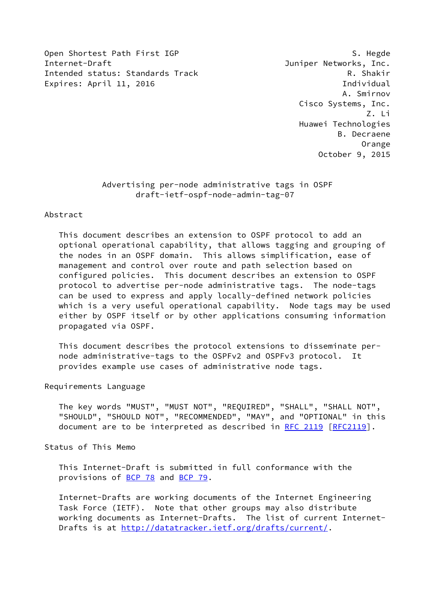Open Shortest Path First IGP S. Hegde Internet-Draft **Internet-Draft Juniper Networks**, Inc. Intended status: Standards Track R. Shakir Expires: April 11, 2016 **Individual** 

 A. Smirnov Cisco Systems, Inc. Z. Li Huawei Technologies B. Decraene Orange October 9, 2015

> Advertising per-node administrative tags in OSPF draft-ietf-ospf-node-admin-tag-07

#### Abstract

 This document describes an extension to OSPF protocol to add an optional operational capability, that allows tagging and grouping of the nodes in an OSPF domain. This allows simplification, ease of management and control over route and path selection based on configured policies. This document describes an extension to OSPF protocol to advertise per-node administrative tags. The node-tags can be used to express and apply locally-defined network policies which is a very useful operational capability. Node tags may be used either by OSPF itself or by other applications consuming information propagated via OSPF.

 This document describes the protocol extensions to disseminate per node administrative-tags to the OSPFv2 and OSPFv3 protocol. It provides example use cases of administrative node tags.

#### Requirements Language

 The key words "MUST", "MUST NOT", "REQUIRED", "SHALL", "SHALL NOT", "SHOULD", "SHOULD NOT", "RECOMMENDED", "MAY", and "OPTIONAL" in this document are to be interpreted as described in [RFC 2119 \[RFC2119](https://datatracker.ietf.org/doc/pdf/rfc2119)].

Status of This Memo

 This Internet-Draft is submitted in full conformance with the provisions of [BCP 78](https://datatracker.ietf.org/doc/pdf/bcp78) and [BCP 79](https://datatracker.ietf.org/doc/pdf/bcp79).

 Internet-Drafts are working documents of the Internet Engineering Task Force (IETF). Note that other groups may also distribute working documents as Internet-Drafts. The list of current Internet- Drafts is at<http://datatracker.ietf.org/drafts/current/>.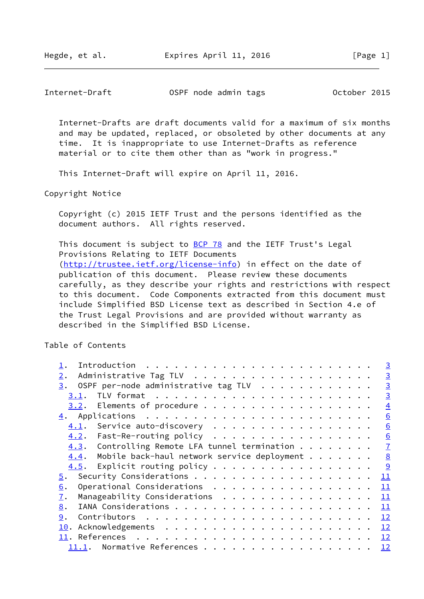Hegde, et al. **Expires April 11, 2016** [Page 1]

Internet-Draft **OSPF** node admin tags **OCTOBER 1888** 

 Internet-Drafts are draft documents valid for a maximum of six months and may be updated, replaced, or obsoleted by other documents at any time. It is inappropriate to use Internet-Drafts as reference material or to cite them other than as "work in progress."

This Internet-Draft will expire on April 11, 2016.

Copyright Notice

 Copyright (c) 2015 IETF Trust and the persons identified as the document authors. All rights reserved.

This document is subject to [BCP 78](https://datatracker.ietf.org/doc/pdf/bcp78) and the IETF Trust's Legal Provisions Relating to IETF Documents [\(http://trustee.ietf.org/license-info](http://trustee.ietf.org/license-info)) in effect on the date of publication of this document. Please review these documents carefully, as they describe your rights and restrictions with respect to this document. Code Components extracted from this document must include Simplified BSD License text as described in Section 4.e of the Trust Legal Provisions and are provided without warranty as described in the Simplified BSD License.

Table of Contents

|                                                                | $\overline{3}$   |
|----------------------------------------------------------------|------------------|
| 2.                                                             | $\overline{3}$   |
| OSPF per-node administrative tag TLV<br>3.                     | $\overline{3}$   |
| 3.1.                                                           | $\overline{3}$   |
|                                                                | $\overline{4}$   |
|                                                                | $6 \overline{6}$ |
| Service auto-discovery<br>4.1.                                 | 6                |
| $4.2.$ Fast-Re-routing policy                                  | 6                |
| $4.3.$ Controlling Remote LFA tunnel termination               | $\overline{1}$   |
| Mobile back-haul network service deployment $\cdots$ 8<br>4.4. |                  |
| 4.5. Explicit routing policy                                   | $\frac{9}{2}$    |
| 5.                                                             | 11               |
| Operational Considerations<br>6.                               | 11               |
| Manageability Considerations<br>7.                             | 11               |
| 8.                                                             | 11               |
| 9.                                                             | 12               |
| 10.                                                            |                  |
|                                                                |                  |
| Normative References $\underline{12}$<br>11.1.                 |                  |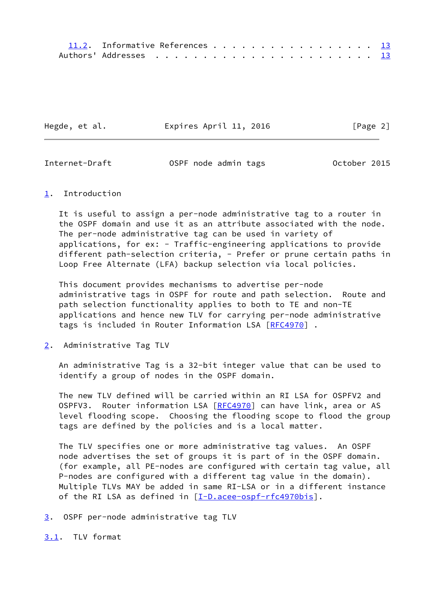| 11.2. Informative References 13 |  |  |  |  |  |  |  |  |  |  |  |
|---------------------------------|--|--|--|--|--|--|--|--|--|--|--|
|                                 |  |  |  |  |  |  |  |  |  |  |  |

Hegde, et al. **Expires April 11, 2016** [Page 2]

<span id="page-2-1"></span>Internet-Draft **OSPF** node admin tags **OCTOBER 1888** 

### <span id="page-2-0"></span>[1](#page-2-0). Introduction

 It is useful to assign a per-node administrative tag to a router in the OSPF domain and use it as an attribute associated with the node. The per-node administrative tag can be used in variety of applications, for ex: - Traffic-engineering applications to provide different path-selection criteria, - Prefer or prune certain paths in Loop Free Alternate (LFA) backup selection via local policies.

 This document provides mechanisms to advertise per-node administrative tags in OSPF for route and path selection. Route and path selection functionality applies to both to TE and non-TE applications and hence new TLV for carrying per-node administrative tags is included in Router Information LSA [[RFC4970\]](https://datatracker.ietf.org/doc/pdf/rfc4970).

<span id="page-2-2"></span>[2](#page-2-2). Administrative Tag TLV

 An administrative Tag is a 32-bit integer value that can be used to identify a group of nodes in the OSPF domain.

 The new TLV defined will be carried within an RI LSA for OSPFV2 and OSPFV3. Router information LSA [\[RFC4970](https://datatracker.ietf.org/doc/pdf/rfc4970)] can have link, area or AS level flooding scope. Choosing the flooding scope to flood the group tags are defined by the policies and is a local matter.

 The TLV specifies one or more administrative tag values. An OSPF node advertises the set of groups it is part of in the OSPF domain. (for example, all PE-nodes are configured with certain tag value, all P-nodes are configured with a different tag value in the domain). Multiple TLVs MAY be added in same RI-LSA or in a different instance of the RI LSA as defined in  $[I-D.ace-cspf-rfc4970bis]$ .

<span id="page-2-3"></span>[3](#page-2-3). OSPF per-node administrative tag TLV

<span id="page-2-4"></span>[3.1](#page-2-4). TLV format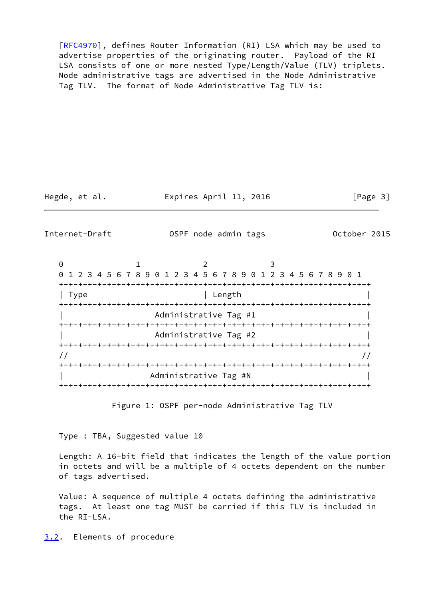[\[RFC4970](https://datatracker.ietf.org/doc/pdf/rfc4970)], defines Router Information (RI) LSA which may be used to advertise properties of the originating router. Payload of the RI LSA consists of one or more nested Type/Length/Value (TLV) triplets. Node administrative tags are advertised in the Node Administrative Tag TLV. The format of Node Administrative Tag TLV is:

Hegde, et al. **Expires April 11, 2016** [Page 3]

<span id="page-3-1"></span>

Internet-Draft OSPF node admin tags October 2015

0 1 2 3 0 1 2 3 4 5 6 7 8 9 0 1 2 3 4 5 6 7 8 9 0 1 2 3 4 5 6 7 8 9 0 1 +-+-+-+-+-+-+-+-+-+-+-+-+-+-+-+-+-+-+-+-+-+-+-+-+-+-+-+-+-+-+-+-+ | Type | Length +-+-+-+-+-+-+-+-+-+-+-+-+-+-+-+-+-+-+-+-+-+-+-+-+-+-+-+-+-+-+-+-+ Administrative Tag #1 +-+-+-+-+-+-+-+-+-+-+-+-+-+-+-+-+-+-+-+-+-+-+-+-+-+-+-+-+-+-+-+-+ | Administrative Tag #2 | +-+-+-+-+-+-+-+-+-+-+-+-+-+-+-+-+-+-+-+-+-+-+-+-+-+-+-+-+-+-+-+-+  $\frac{1}{2}$  // +-+-+-+-+-+-+-+-+-+-+-+-+-+-+-+-+-+-+-+-+-+-+-+-+-+-+-+-+-+-+-+-+ Administrative Tag #N +-+-+-+-+-+-+-+-+-+-+-+-+-+-+-+-+-+-+-+-+-+-+-+-+-+-+-+-+-+-+-+-+

Figure 1: OSPF per-node Administrative Tag TLV

Type : TBA, Suggested value 10

 Length: A 16-bit field that indicates the length of the value portion in octets and will be a multiple of 4 octets dependent on the number of tags advertised.

 Value: A sequence of multiple 4 octets defining the administrative tags. At least one tag MUST be carried if this TLV is included in the RI-LSA.

<span id="page-3-0"></span>[3.2](#page-3-0). Elements of procedure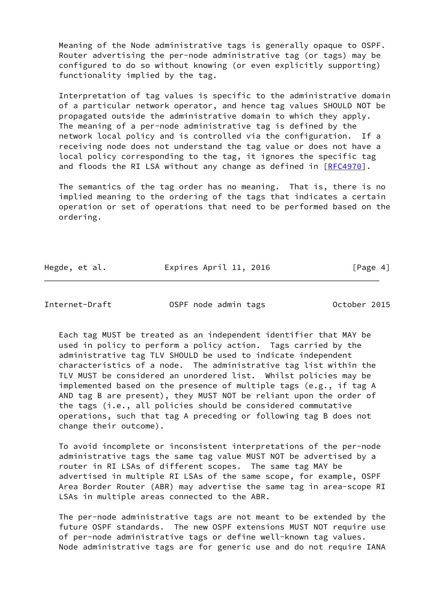Meaning of the Node administrative tags is generally opaque to OSPF. Router advertising the per-node administrative tag (or tags) may be configured to do so without knowing (or even explicitly supporting) functionality implied by the tag.

 Interpretation of tag values is specific to the administrative domain of a particular network operator, and hence tag values SHOULD NOT be propagated outside the administrative domain to which they apply. The meaning of a per-node administrative tag is defined by the network local policy and is controlled via the configuration. If a receiving node does not understand the tag value or does not have a local policy corresponding to the tag, it ignores the specific tag and floods the RI LSA without any change as defined in [\[RFC4970](https://datatracker.ietf.org/doc/pdf/rfc4970)].

 The semantics of the tag order has no meaning. That is, there is no implied meaning to the ordering of the tags that indicates a certain operation or set of operations that need to be performed based on the ordering.

Hegde, et al. **Expires April 11, 2016** [Page 4]

Internet-Draft OSPF node admin tags October 2015

 Each tag MUST be treated as an independent identifier that MAY be used in policy to perform a policy action. Tags carried by the administrative tag TLV SHOULD be used to indicate independent characteristics of a node. The administrative tag list within the TLV MUST be considered an unordered list. Whilst policies may be implemented based on the presence of multiple tags (e.g., if tag A AND tag B are present), they MUST NOT be reliant upon the order of the tags (i.e., all policies should be considered commutative operations, such that tag A preceding or following tag B does not change their outcome).

 To avoid incomplete or inconsistent interpretations of the per-node administrative tags the same tag value MUST NOT be advertised by a router in RI LSAs of different scopes. The same tag MAY be advertised in multiple RI LSAs of the same scope, for example, OSPF Area Border Router (ABR) may advertise the same tag in area-scope RI LSAs in multiple areas connected to the ABR.

 The per-node administrative tags are not meant to be extended by the future OSPF standards. The new OSPF extensions MUST NOT require use of per-node administrative tags or define well-known tag values. Node administrative tags are for generic use and do not require IANA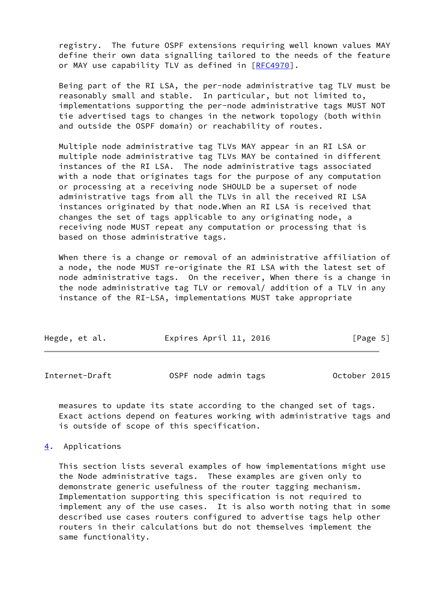registry. The future OSPF extensions requiring well known values MAY define their own data signalling tailored to the needs of the feature or MAY use capability TLV as defined in [\[RFC4970](https://datatracker.ietf.org/doc/pdf/rfc4970)].

 Being part of the RI LSA, the per-node administrative tag TLV must be reasonably small and stable. In particular, but not limited to, implementations supporting the per-node administrative tags MUST NOT tie advertised tags to changes in the network topology (both within and outside the OSPF domain) or reachability of routes.

 Multiple node administrative tag TLVs MAY appear in an RI LSA or multiple node administrative tag TLVs MAY be contained in different instances of the RI LSA. The node administrative tags associated with a node that originates tags for the purpose of any computation or processing at a receiving node SHOULD be a superset of node administrative tags from all the TLVs in all the received RI LSA instances originated by that node.When an RI LSA is received that changes the set of tags applicable to any originating node, a receiving node MUST repeat any computation or processing that is based on those administrative tags.

When there is a change or removal of an administrative affiliation of a node, the node MUST re-originate the RI LSA with the latest set of node administrative tags. On the receiver, When there is a change in the node administrative tag TLV or removal/ addition of a TLV in any instance of the RI-LSA, implementations MUST take appropriate

<span id="page-5-1"></span>

| Internet-Draft | OSPF node admin tags | October 2015 |
|----------------|----------------------|--------------|
|----------------|----------------------|--------------|

 measures to update its state according to the changed set of tags. Exact actions depend on features working with administrative tags and is outside of scope of this specification.

#### <span id="page-5-0"></span>[4](#page-5-0). Applications

 This section lists several examples of how implementations might use the Node administrative tags. These examples are given only to demonstrate generic usefulness of the router tagging mechanism. Implementation supporting this specification is not required to implement any of the use cases. It is also worth noting that in some described use cases routers configured to advertise tags help other routers in their calculations but do not themselves implement the same functionality.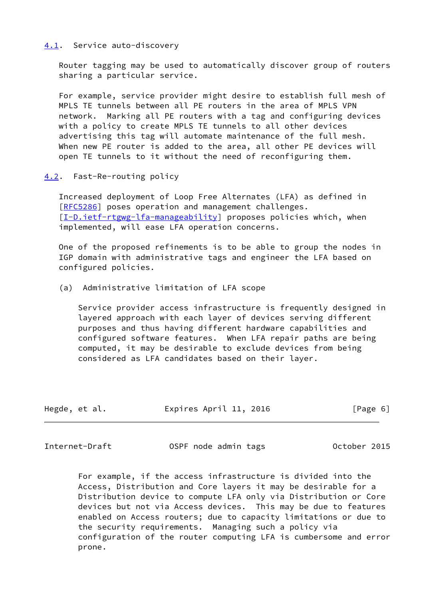### <span id="page-6-0"></span>[4.1](#page-6-0). Service auto-discovery

 Router tagging may be used to automatically discover group of routers sharing a particular service.

 For example, service provider might desire to establish full mesh of MPLS TE tunnels between all PE routers in the area of MPLS VPN network. Marking all PE routers with a tag and configuring devices with a policy to create MPLS TE tunnels to all other devices advertising this tag will automate maintenance of the full mesh. When new PE router is added to the area, all other PE devices will open TE tunnels to it without the need of reconfiguring them.

## <span id="page-6-1"></span>[4.2](#page-6-1). Fast-Re-routing policy

 Increased deployment of Loop Free Alternates (LFA) as defined in [\[RFC5286](https://datatracker.ietf.org/doc/pdf/rfc5286)] poses operation and management challenges. [\[I-D.ietf-rtgwg-lfa-manageability](#page-13-2)] proposes policies which, when implemented, will ease LFA operation concerns.

 One of the proposed refinements is to be able to group the nodes in IGP domain with administrative tags and engineer the LFA based on configured policies.

(a) Administrative limitation of LFA scope

 Service provider access infrastructure is frequently designed in layered approach with each layer of devices serving different purposes and thus having different hardware capabilities and configured software features. When LFA repair paths are being computed, it may be desirable to exclude devices from being considered as LFA candidates based on their layer.

| Hegde, et al. | Expires April 11, 2016 | [Page 6] |
|---------------|------------------------|----------|
|               |                        |          |

<span id="page-6-2"></span>Internet-Draft **OSPF** node admin tags **OCTOBER 2015** 

 For example, if the access infrastructure is divided into the Access, Distribution and Core layers it may be desirable for a Distribution device to compute LFA only via Distribution or Core devices but not via Access devices. This may be due to features enabled on Access routers; due to capacity limitations or due to the security requirements. Managing such a policy via configuration of the router computing LFA is cumbersome and error prone.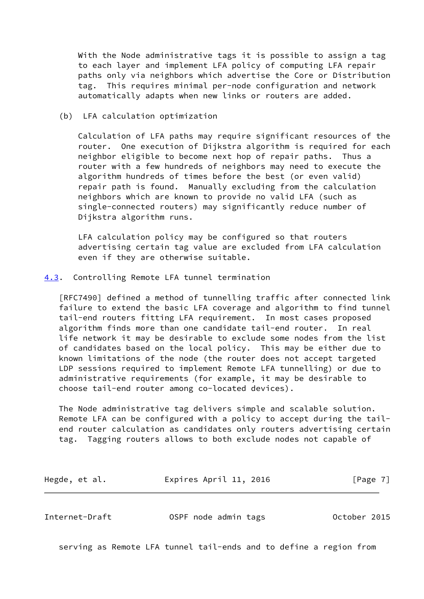With the Node administrative tags it is possible to assign a tag to each layer and implement LFA policy of computing LFA repair paths only via neighbors which advertise the Core or Distribution tag. This requires minimal per-node configuration and network automatically adapts when new links or routers are added.

(b) LFA calculation optimization

 Calculation of LFA paths may require significant resources of the router. One execution of Dijkstra algorithm is required for each neighbor eligible to become next hop of repair paths. Thus a router with a few hundreds of neighbors may need to execute the algorithm hundreds of times before the best (or even valid) repair path is found. Manually excluding from the calculation neighbors which are known to provide no valid LFA (such as single-connected routers) may significantly reduce number of Dijkstra algorithm runs.

 LFA calculation policy may be configured so that routers advertising certain tag value are excluded from LFA calculation even if they are otherwise suitable.

<span id="page-7-0"></span>[4.3](#page-7-0). Controlling Remote LFA tunnel termination

 [RFC7490] defined a method of tunnelling traffic after connected link failure to extend the basic LFA coverage and algorithm to find tunnel tail-end routers fitting LFA requirement. In most cases proposed algorithm finds more than one candidate tail-end router. In real life network it may be desirable to exclude some nodes from the list of candidates based on the local policy. This may be either due to known limitations of the node (the router does not accept targeted LDP sessions required to implement Remote LFA tunnelling) or due to administrative requirements (for example, it may be desirable to choose tail-end router among co-located devices).

 The Node administrative tag delivers simple and scalable solution. Remote LFA can be configured with a policy to accept during the tail end router calculation as candidates only routers advertising certain tag. Tagging routers allows to both exclude nodes not capable of

Hegde, et al. **Expires April 11, 2016** [Page 7]

<span id="page-7-1"></span>Internet-Draft **OSPF** node admin tags **OCTOBER 1888** 

serving as Remote LFA tunnel tail-ends and to define a region from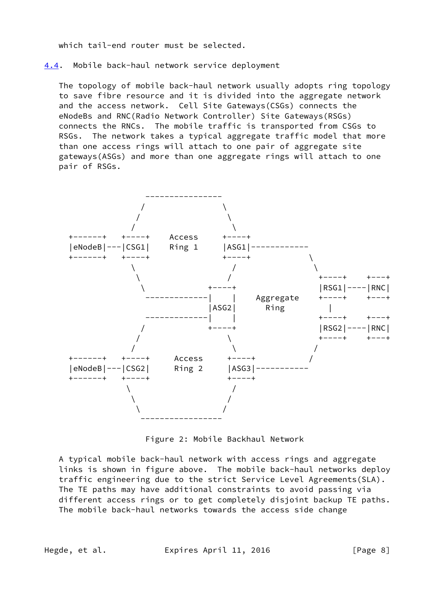which tail-end router must be selected.

<span id="page-8-0"></span>[4.4](#page-8-0). Mobile back-haul network service deployment

 The topology of mobile back-haul network usually adopts ring topology to save fibre resource and it is divided into the aggregate network and the access network. Cell Site Gateways(CSGs) connects the eNodeBs and RNC(Radio Network Controller) Site Gateways(RSGs) connects the RNCs. The mobile traffic is transported from CSGs to RSGs. The network takes a typical aggregate traffic model that more than one access rings will attach to one pair of aggregate site gateways(ASGs) and more than one aggregate rings will attach to one pair of RSGs.



Figure 2: Mobile Backhaul Network

 A typical mobile back-haul network with access rings and aggregate links is shown in figure above. The mobile back-haul networks deploy traffic engineering due to the strict Service Level Agreements(SLA). The TE paths may have additional constraints to avoid passing via different access rings or to get completely disjoint backup TE paths. The mobile back-haul networks towards the access side change

Hegde, et al. Expires April 11, 2016 [Page 8]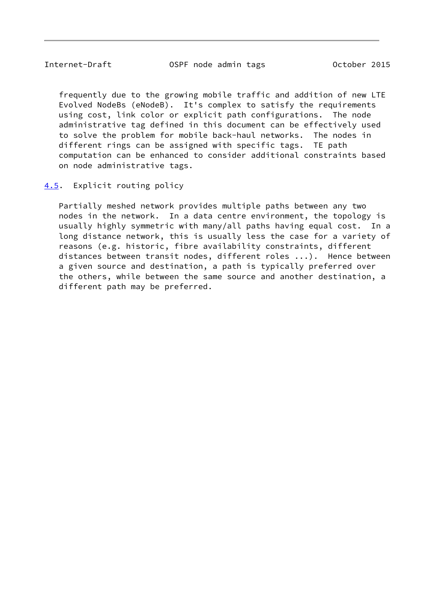<span id="page-9-1"></span>Internet-Draft OSPF node admin tags October 2015

 frequently due to the growing mobile traffic and addition of new LTE Evolved NodeBs (eNodeB). It's complex to satisfy the requirements using cost, link color or explicit path configurations. The node administrative tag defined in this document can be effectively used to solve the problem for mobile back-haul networks. The nodes in different rings can be assigned with specific tags. TE path computation can be enhanced to consider additional constraints based on node administrative tags.

<span id="page-9-0"></span>[4.5](#page-9-0). Explicit routing policy

 Partially meshed network provides multiple paths between any two nodes in the network. In a data centre environment, the topology is usually highly symmetric with many/all paths having equal cost. In a long distance network, this is usually less the case for a variety of reasons (e.g. historic, fibre availability constraints, different distances between transit nodes, different roles ...). Hence between a given source and destination, a path is typically preferred over the others, while between the same source and another destination, a different path may be preferred.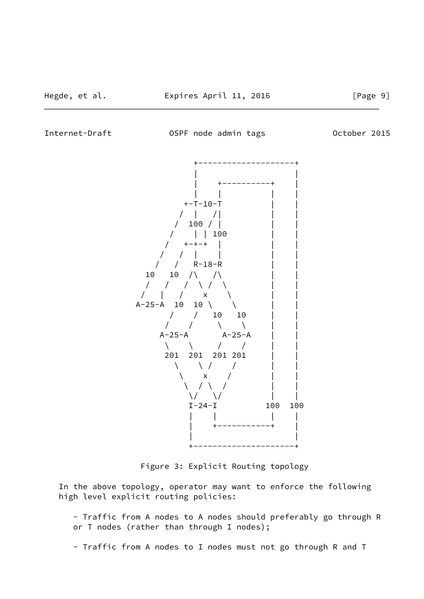Internet-Draft **OSPF** node admin tags **October 2015** 



Figure 3: Explicit Routing topology

 In the above topology, operator may want to enforce the following high level explicit routing policies:

 - Traffic from A nodes to A nodes should preferably go through R or T nodes (rather than through I nodes);

- Traffic from A nodes to I nodes must not go through R and T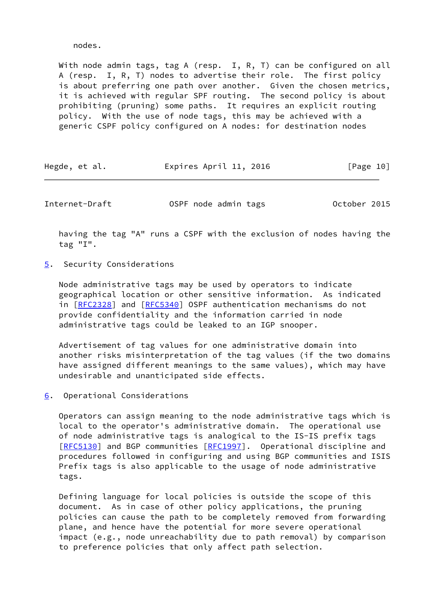nodes.

With node admin tags, tag A (resp. I, R, T) can be configured on all A (resp. I, R, T) nodes to advertise their role. The first policy is about preferring one path over another. Given the chosen metrics, it is achieved with regular SPF routing. The second policy is about prohibiting (pruning) some paths. It requires an explicit routing policy. With the use of node tags, this may be achieved with a generic CSPF policy configured on A nodes: for destination nodes

| Hegde, et al. | Expires April 11, 2016 | [Page 10] |
|---------------|------------------------|-----------|
|---------------|------------------------|-----------|

<span id="page-11-1"></span>Internet-Draft **OSPF** node admin tags **OCTOBER 1898** 

 having the tag "A" runs a CSPF with the exclusion of nodes having the tag "I".

<span id="page-11-0"></span>[5](#page-11-0). Security Considerations

 Node administrative tags may be used by operators to indicate geographical location or other sensitive information. As indicated in [[RFC2328\]](https://datatracker.ietf.org/doc/pdf/rfc2328) and [\[RFC5340](https://datatracker.ietf.org/doc/pdf/rfc5340)] OSPF authentication mechanisms do not provide confidentiality and the information carried in node administrative tags could be leaked to an IGP snooper.

 Advertisement of tag values for one administrative domain into another risks misinterpretation of the tag values (if the two domains have assigned different meanings to the same values), which may have undesirable and unanticipated side effects.

<span id="page-11-2"></span>[6](#page-11-2). Operational Considerations

 Operators can assign meaning to the node administrative tags which is local to the operator's administrative domain. The operational use of node administrative tags is analogical to the IS-IS prefix tags [\[RFC5130](https://datatracker.ietf.org/doc/pdf/rfc5130)] and BGP communities [[RFC1997](https://datatracker.ietf.org/doc/pdf/rfc1997)]. Operational discipline and procedures followed in configuring and using BGP communities and ISIS Prefix tags is also applicable to the usage of node administrative tags.

 Defining language for local policies is outside the scope of this document. As in case of other policy applications, the pruning policies can cause the path to be completely removed from forwarding plane, and hence have the potential for more severe operational impact (e.g., node unreachability due to path removal) by comparison to preference policies that only affect path selection.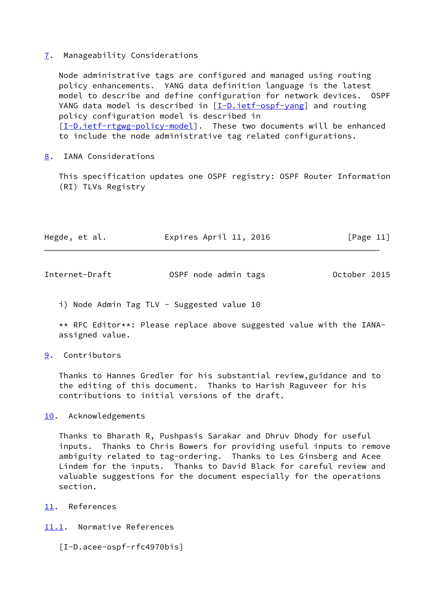### <span id="page-12-0"></span>[7](#page-12-0). Manageability Considerations

 Node administrative tags are configured and managed using routing policy enhancements. YANG data definition language is the latest model to describe and define configuration for network devices. OSPF YANG data model is described in [\[I-D.ietf-ospf-yang\]](#page-13-3) and routing policy configuration model is described in [\[I-D.ietf-rtgwg-policy-model](#page-14-0)]. These two documents will be enhanced to include the node administrative tag related configurations.

## <span id="page-12-1"></span>[8](#page-12-1). IANA Considerations

 This specification updates one OSPF registry: OSPF Router Information (RI) TLVs Registry

| Hegde, et al. | Expires April 11, 2016 | [Page 11] |
|---------------|------------------------|-----------|
|               |                        |           |

<span id="page-12-3"></span>Internet-Draft **OSPF** node admin tags **OCTOBER 1888** 

i) Node Admin Tag TLV - Suggested value 10

 \*\* RFC Editor\*\*: Please replace above suggested value with the IANA assigned value.

### <span id="page-12-2"></span>[9](#page-12-2). Contributors

 Thanks to Hannes Gredler for his substantial review,guidance and to the editing of this document. Thanks to Harish Raguveer for his contributions to initial versions of the draft.

## <span id="page-12-4"></span>[10.](#page-12-4) Acknowledgements

 Thanks to Bharath R, Pushpasis Sarakar and Dhruv Dhody for useful inputs. Thanks to Chris Bowers for providing useful inputs to remove ambiguity related to tag-ordering. Thanks to Les Ginsberg and Acee Lindem for the inputs. Thanks to David Black for careful review and valuable suggestions for the document especially for the operations section.

# <span id="page-12-5"></span>[11.](#page-12-5) References

<span id="page-12-6"></span>[11.1](#page-12-6). Normative References

<span id="page-12-7"></span>[I-D.acee-ospf-rfc4970bis]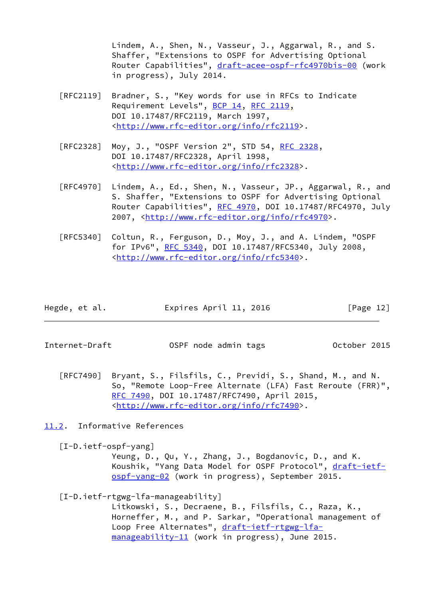Lindem, A., Shen, N., Vasseur, J., Aggarwal, R., and S. Shaffer, "Extensions to OSPF for Advertising Optional Router Capabilities", [draft-acee-ospf-rfc4970bis-00](https://datatracker.ietf.org/doc/pdf/draft-acee-ospf-rfc4970bis-00) (work in progress), July 2014.

- [RFC2119] Bradner, S., "Key words for use in RFCs to Indicate Requirement Levels", [BCP 14](https://datatracker.ietf.org/doc/pdf/bcp14), [RFC 2119](https://datatracker.ietf.org/doc/pdf/rfc2119), DOI 10.17487/RFC2119, March 1997, <<http://www.rfc-editor.org/info/rfc2119>>.
- [RFC2328] Moy, J., "OSPF Version 2", STD 54, [RFC 2328](https://datatracker.ietf.org/doc/pdf/rfc2328), DOI 10.17487/RFC2328, April 1998, <<http://www.rfc-editor.org/info/rfc2328>>.
- [RFC4970] Lindem, A., Ed., Shen, N., Vasseur, JP., Aggarwal, R., and S. Shaffer, "Extensions to OSPF for Advertising Optional Router Capabilities", [RFC 4970](https://datatracker.ietf.org/doc/pdf/rfc4970), DOI 10.17487/RFC4970, July 2007, [<http://www.rfc-editor.org/info/rfc4970](http://www.rfc-editor.org/info/rfc4970)>.
- [RFC5340] Coltun, R., Ferguson, D., Moy, J., and A. Lindem, "OSPF for IPv6", [RFC 5340](https://datatracker.ietf.org/doc/pdf/rfc5340), DOI 10.17487/RFC5340, July 2008, <<http://www.rfc-editor.org/info/rfc5340>>.

| Hegde, et al. | Expires April 11, 2016 | [Page 12] |
|---------------|------------------------|-----------|
|---------------|------------------------|-----------|

- <span id="page-13-1"></span>Internet-Draft OSPF node admin tags October 2015
	- [RFC7490] Bryant, S., Filsfils, C., Previdi, S., Shand, M., and N. So, "Remote Loop-Free Alternate (LFA) Fast Reroute (FRR)", [RFC 7490,](https://datatracker.ietf.org/doc/pdf/rfc7490) DOI 10.17487/RFC7490, April 2015, <<http://www.rfc-editor.org/info/rfc7490>>.

<span id="page-13-0"></span>[11.2](#page-13-0). Informative References

<span id="page-13-3"></span>[I-D.ietf-ospf-yang]

 Yeung, D., Qu, Y., Zhang, J., Bogdanovic, D., and K. Koushik, "Yang Data Model for OSPF Protocol", [draft-ietf](https://datatracker.ietf.org/doc/pdf/draft-ietf-ospf-yang-02) [ospf-yang-02](https://datatracker.ietf.org/doc/pdf/draft-ietf-ospf-yang-02) (work in progress), September 2015.

<span id="page-13-2"></span>[I-D.ietf-rtgwg-lfa-manageability]

 Litkowski, S., Decraene, B., Filsfils, C., Raza, K., Horneffer, M., and P. Sarkar, "Operational management of Loop Free Alternates", [draft-ietf-rtgwg-lfa](https://datatracker.ietf.org/doc/pdf/draft-ietf-rtgwg-lfa-manageability-11) [manageability-11](https://datatracker.ietf.org/doc/pdf/draft-ietf-rtgwg-lfa-manageability-11) (work in progress), June 2015.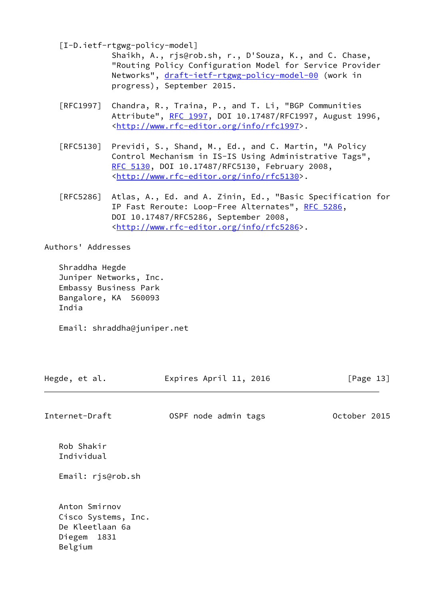<span id="page-14-0"></span>[I-D.ietf-rtgwg-policy-model]

 Shaikh, A., rjs@rob.sh, r., D'Souza, K., and C. Chase, "Routing Policy Configuration Model for Service Provider Networks", [draft-ietf-rtgwg-policy-model-00](https://datatracker.ietf.org/doc/pdf/draft-ietf-rtgwg-policy-model-00) (work in progress), September 2015.

- [RFC1997] Chandra, R., Traina, P., and T. Li, "BGP Communities Attribute", [RFC 1997,](https://datatracker.ietf.org/doc/pdf/rfc1997) DOI 10.17487/RFC1997, August 1996, <<http://www.rfc-editor.org/info/rfc1997>>.
- [RFC5130] Previdi, S., Shand, M., Ed., and C. Martin, "A Policy Control Mechanism in IS-IS Using Administrative Tags", [RFC 5130,](https://datatracker.ietf.org/doc/pdf/rfc5130) DOI 10.17487/RFC5130, February 2008, <<http://www.rfc-editor.org/info/rfc5130>>.
- [RFC5286] Atlas, A., Ed. and A. Zinin, Ed., "Basic Specification for IP Fast Reroute: Loop-Free Alternates", [RFC 5286,](https://datatracker.ietf.org/doc/pdf/rfc5286) DOI 10.17487/RFC5286, September 2008, <<http://www.rfc-editor.org/info/rfc5286>>.

Authors' Addresses

 Shraddha Hegde Juniper Networks, Inc. Embassy Business Park Bangalore, KA 560093 India

Email: shraddha@juniper.net

Internet-Draft **OSPF** node admin tags **OCTOBER 1815**  Rob Shakir Individual Email: rjs@rob.sh Anton Smirnov Cisco Systems, Inc. De Kleetlaan 6a Diegem 1831

Hegde, et al. **Expires April 11, 2016** [Page 13]

Belgium